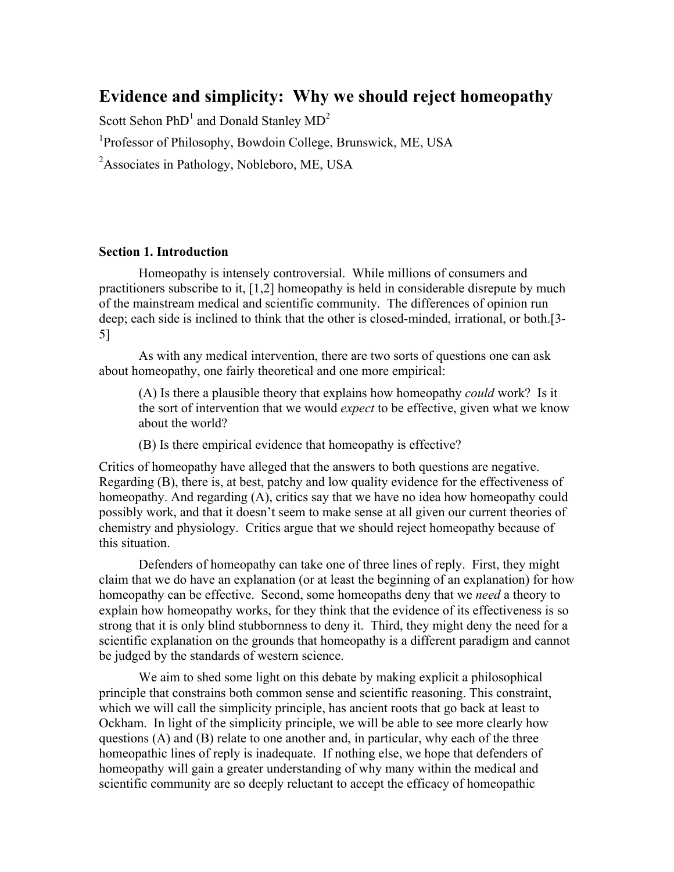# **Evidence and simplicity: Why we should reject homeopathy**

Scott Sehon  $PhD<sup>1</sup>$  and Donald Stanley  $MD<sup>2</sup>$ 

<sup>1</sup>Professor of Philosophy, Bowdoin College, Brunswick, ME, USA

<sup>2</sup>Associates in Pathology, Nobleboro, ME, USA

### **Section 1. Introduction**

Homeopathy is intensely controversial. While millions of consumers and practitioners subscribe to it, [1,2] homeopathy is held in considerable disrepute by much of the mainstream medical and scientific community. The differences of opinion run deep; each side is inclined to think that the other is closed-minded, irrational, or both.[3- 5]

As with any medical intervention, there are two sorts of questions one can ask about homeopathy, one fairly theoretical and one more empirical:

(A) Is there a plausible theory that explains how homeopathy *could* work? Is it the sort of intervention that we would *expect* to be effective, given what we know about the world?

(B) Is there empirical evidence that homeopathy is effective?

Critics of homeopathy have alleged that the answers to both questions are negative. Regarding (B), there is, at best, patchy and low quality evidence for the effectiveness of homeopathy. And regarding (A), critics say that we have no idea how homeopathy could possibly work, and that it doesn't seem to make sense at all given our current theories of chemistry and physiology. Critics argue that we should reject homeopathy because of this situation.

Defenders of homeopathy can take one of three lines of reply. First, they might claim that we do have an explanation (or at least the beginning of an explanation) for how homeopathy can be effective. Second, some homeopaths deny that we *need* a theory to explain how homeopathy works, for they think that the evidence of its effectiveness is so strong that it is only blind stubbornness to deny it. Third, they might deny the need for a scientific explanation on the grounds that homeopathy is a different paradigm and cannot be judged by the standards of western science.

We aim to shed some light on this debate by making explicit a philosophical principle that constrains both common sense and scientific reasoning. This constraint, which we will call the simplicity principle, has ancient roots that go back at least to Ockham. In light of the simplicity principle, we will be able to see more clearly how questions (A) and (B) relate to one another and, in particular, why each of the three homeopathic lines of reply is inadequate. If nothing else, we hope that defenders of homeopathy will gain a greater understanding of why many within the medical and scientific community are so deeply reluctant to accept the efficacy of homeopathic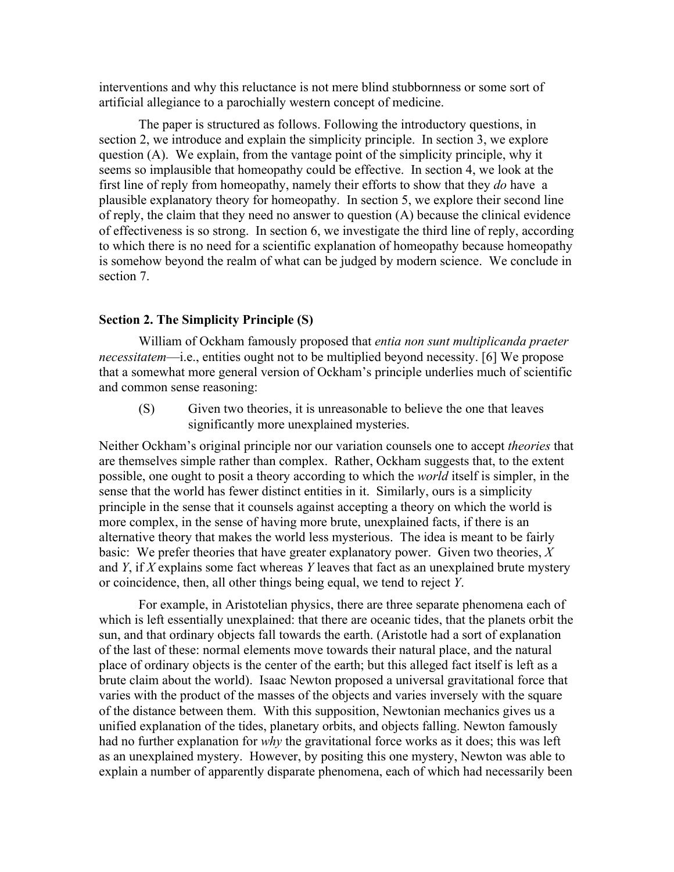interventions and why this reluctance is not mere blind stubbornness or some sort of artificial allegiance to a parochially western concept of medicine.

The paper is structured as follows. Following the introductory questions, in section 2, we introduce and explain the simplicity principle. In section 3, we explore question (A). We explain, from the vantage point of the simplicity principle, why it seems so implausible that homeopathy could be effective. In section 4, we look at the first line of reply from homeopathy, namely their efforts to show that they *do* have a plausible explanatory theory for homeopathy. In section 5, we explore their second line of reply, the claim that they need no answer to question (A) because the clinical evidence of effectiveness is so strong. In section 6, we investigate the third line of reply, according to which there is no need for a scientific explanation of homeopathy because homeopathy is somehow beyond the realm of what can be judged by modern science. We conclude in section 7.

#### **Section 2. The Simplicity Principle (S)**

William of Ockham famously proposed that *entia non sunt multiplicanda praeter necessitatem*—i.e., entities ought not to be multiplied beyond necessity. [6] We propose that a somewhat more general version of Ockham's principle underlies much of scientific and common sense reasoning:

(S) Given two theories, it is unreasonable to believe the one that leaves significantly more unexplained mysteries.

Neither Ockham's original principle nor our variation counsels one to accept *theories* that are themselves simple rather than complex. Rather, Ockham suggests that, to the extent possible, one ought to posit a theory according to which the *world* itself is simpler, in the sense that the world has fewer distinct entities in it. Similarly, ours is a simplicity principle in the sense that it counsels against accepting a theory on which the world is more complex, in the sense of having more brute, unexplained facts, if there is an alternative theory that makes the world less mysterious. The idea is meant to be fairly basic: We prefer theories that have greater explanatory power. Given two theories, *X* and *Y*, if *X* explains some fact whereas *Y* leaves that fact as an unexplained brute mystery or coincidence, then, all other things being equal, we tend to reject *Y*.

For example, in Aristotelian physics, there are three separate phenomena each of which is left essentially unexplained: that there are oceanic tides, that the planets orbit the sun, and that ordinary objects fall towards the earth. (Aristotle had a sort of explanation of the last of these: normal elements move towards their natural place, and the natural place of ordinary objects is the center of the earth; but this alleged fact itself is left as a brute claim about the world). Isaac Newton proposed a universal gravitational force that varies with the product of the masses of the objects and varies inversely with the square of the distance between them. With this supposition, Newtonian mechanics gives us a unified explanation of the tides, planetary orbits, and objects falling. Newton famously had no further explanation for *why* the gravitational force works as it does; this was left as an unexplained mystery. However, by positing this one mystery, Newton was able to explain a number of apparently disparate phenomena, each of which had necessarily been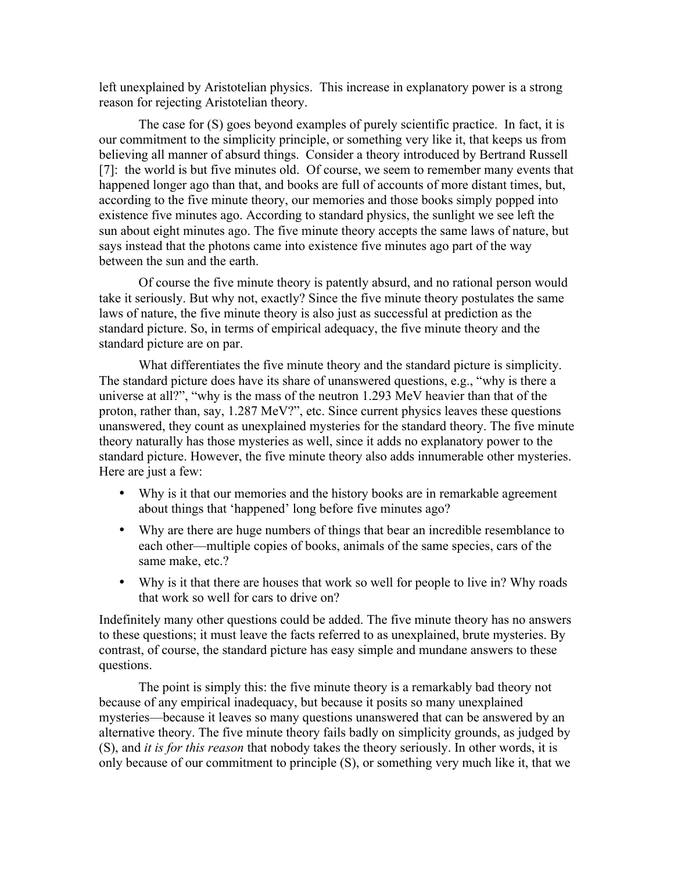left unexplained by Aristotelian physics. This increase in explanatory power is a strong reason for rejecting Aristotelian theory.

 The case for (S) goes beyond examples of purely scientific practice. In fact, it is our commitment to the simplicity principle, or something very like it, that keeps us from believing all manner of absurd things. Consider a theory introduced by Bertrand Russell [7]: the world is but five minutes old. Of course, we seem to remember many events that happened longer ago than that, and books are full of accounts of more distant times, but, according to the five minute theory, our memories and those books simply popped into existence five minutes ago. According to standard physics, the sunlight we see left the sun about eight minutes ago. The five minute theory accepts the same laws of nature, but says instead that the photons came into existence five minutes ago part of the way between the sun and the earth.

Of course the five minute theory is patently absurd, and no rational person would take it seriously. But why not, exactly? Since the five minute theory postulates the same laws of nature, the five minute theory is also just as successful at prediction as the standard picture. So, in terms of empirical adequacy, the five minute theory and the standard picture are on par.

What differentiates the five minute theory and the standard picture is simplicity. The standard picture does have its share of unanswered questions, e.g., "why is there a universe at all?", "why is the mass of the neutron 1.293 MeV heavier than that of the proton, rather than, say, 1.287 MeV?", etc. Since current physics leaves these questions unanswered, they count as unexplained mysteries for the standard theory. The five minute theory naturally has those mysteries as well, since it adds no explanatory power to the standard picture. However, the five minute theory also adds innumerable other mysteries. Here are just a few:

- Why is it that our memories and the history books are in remarkable agreement about things that 'happened' long before five minutes ago?
- Why are there are huge numbers of things that bear an incredible resemblance to each other—multiple copies of books, animals of the same species, cars of the same make, etc.?
- Why is it that there are houses that work so well for people to live in? Why roads that work so well for cars to drive on?

Indefinitely many other questions could be added. The five minute theory has no answers to these questions; it must leave the facts referred to as unexplained, brute mysteries. By contrast, of course, the standard picture has easy simple and mundane answers to these questions.

The point is simply this: the five minute theory is a remarkably bad theory not because of any empirical inadequacy, but because it posits so many unexplained mysteries—because it leaves so many questions unanswered that can be answered by an alternative theory. The five minute theory fails badly on simplicity grounds, as judged by (S), and *it is for this reason* that nobody takes the theory seriously. In other words, it is only because of our commitment to principle (S), or something very much like it, that we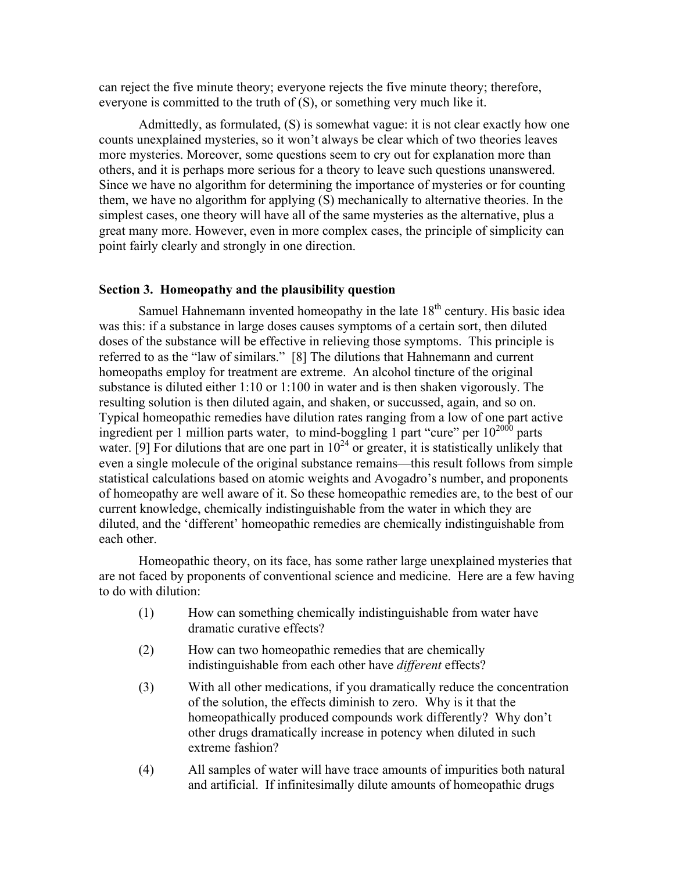can reject the five minute theory; everyone rejects the five minute theory; therefore, everyone is committed to the truth of (S), or something very much like it.

Admittedly, as formulated, (S) is somewhat vague: it is not clear exactly how one counts unexplained mysteries, so it won't always be clear which of two theories leaves more mysteries. Moreover, some questions seem to cry out for explanation more than others, and it is perhaps more serious for a theory to leave such questions unanswered. Since we have no algorithm for determining the importance of mysteries or for counting them, we have no algorithm for applying (S) mechanically to alternative theories. In the simplest cases, one theory will have all of the same mysteries as the alternative, plus a great many more. However, even in more complex cases, the principle of simplicity can point fairly clearly and strongly in one direction.

### **Section 3. Homeopathy and the plausibility question**

Samuel Hahnemann invented homeopathy in the late  $18<sup>th</sup>$  century. His basic idea was this: if a substance in large doses causes symptoms of a certain sort, then diluted doses of the substance will be effective in relieving those symptoms. This principle is referred to as the "law of similars." [8] The dilutions that Hahnemann and current homeopaths employ for treatment are extreme. An alcohol tincture of the original substance is diluted either 1:10 or 1:100 in water and is then shaken vigorously. The resulting solution is then diluted again, and shaken, or succussed, again, and so on. Typical homeopathic remedies have dilution rates ranging from a low of one part active ingredient per 1 million parts water, to mind-boggling 1 part "cure" per  $10^{2000}$  parts water. [9] For dilutions that are one part in  $10^{24}$  or greater, it is statistically unlikely that even a single molecule of the original substance remains—this result follows from simple statistical calculations based on atomic weights and Avogadro's number, and proponents of homeopathy are well aware of it. So these homeopathic remedies are, to the best of our current knowledge, chemically indistinguishable from the water in which they are diluted, and the 'different' homeopathic remedies are chemically indistinguishable from each other.

Homeopathic theory, on its face, has some rather large unexplained mysteries that are not faced by proponents of conventional science and medicine. Here are a few having to do with dilution:

- (1) How can something chemically indistinguishable from water have dramatic curative effects?
- (2) How can two homeopathic remedies that are chemically indistinguishable from each other have *different* effects?
- (3) With all other medications, if you dramatically reduce the concentration of the solution, the effects diminish to zero. Why is it that the homeopathically produced compounds work differently? Why don't other drugs dramatically increase in potency when diluted in such extreme fashion?
- (4) All samples of water will have trace amounts of impurities both natural and artificial. If infinitesimally dilute amounts of homeopathic drugs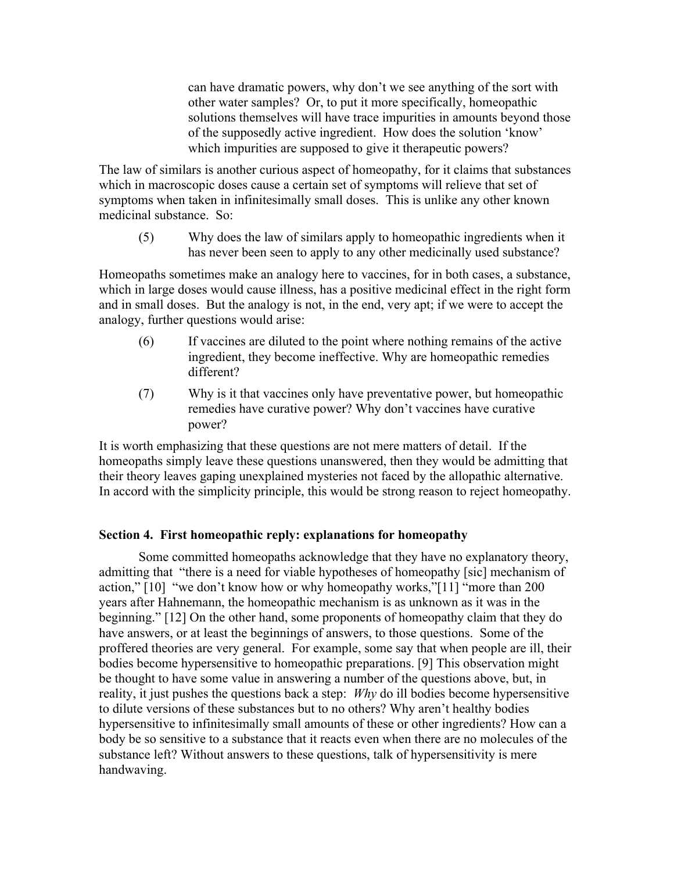can have dramatic powers, why don't we see anything of the sort with other water samples? Or, to put it more specifically, homeopathic solutions themselves will have trace impurities in amounts beyond those of the supposedly active ingredient. How does the solution 'know' which impurities are supposed to give it therapeutic powers?

The law of similars is another curious aspect of homeopathy, for it claims that substances which in macroscopic doses cause a certain set of symptoms will relieve that set of symptoms when taken in infinitesimally small doses. This is unlike any other known medicinal substance. So:

(5) Why does the law of similars apply to homeopathic ingredients when it has never been seen to apply to any other medicinally used substance?

Homeopaths sometimes make an analogy here to vaccines, for in both cases, a substance, which in large doses would cause illness, has a positive medicinal effect in the right form and in small doses. But the analogy is not, in the end, very apt; if we were to accept the analogy, further questions would arise:

- (6) If vaccines are diluted to the point where nothing remains of the active ingredient, they become ineffective. Why are homeopathic remedies different?
- (7) Why is it that vaccines only have preventative power, but homeopathic remedies have curative power? Why don't vaccines have curative power?

It is worth emphasizing that these questions are not mere matters of detail. If the homeopaths simply leave these questions unanswered, then they would be admitting that their theory leaves gaping unexplained mysteries not faced by the allopathic alternative. In accord with the simplicity principle, this would be strong reason to reject homeopathy.

# **Section 4. First homeopathic reply: explanations for homeopathy**

Some committed homeopaths acknowledge that they have no explanatory theory, admitting that "there is a need for viable hypotheses of homeopathy [sic] mechanism of action," [10] "we don't know how or why homeopathy works,"[11] "more than 200 years after Hahnemann, the homeopathic mechanism is as unknown as it was in the beginning." [12] On the other hand, some proponents of homeopathy claim that they do have answers, or at least the beginnings of answers, to those questions. Some of the proffered theories are very general. For example, some say that when people are ill, their bodies become hypersensitive to homeopathic preparations. [9] This observation might be thought to have some value in answering a number of the questions above, but, in reality, it just pushes the questions back a step: *Why* do ill bodies become hypersensitive to dilute versions of these substances but to no others? Why aren't healthy bodies hypersensitive to infinitesimally small amounts of these or other ingredients? How can a body be so sensitive to a substance that it reacts even when there are no molecules of the substance left? Without answers to these questions, talk of hypersensitivity is mere handwaving.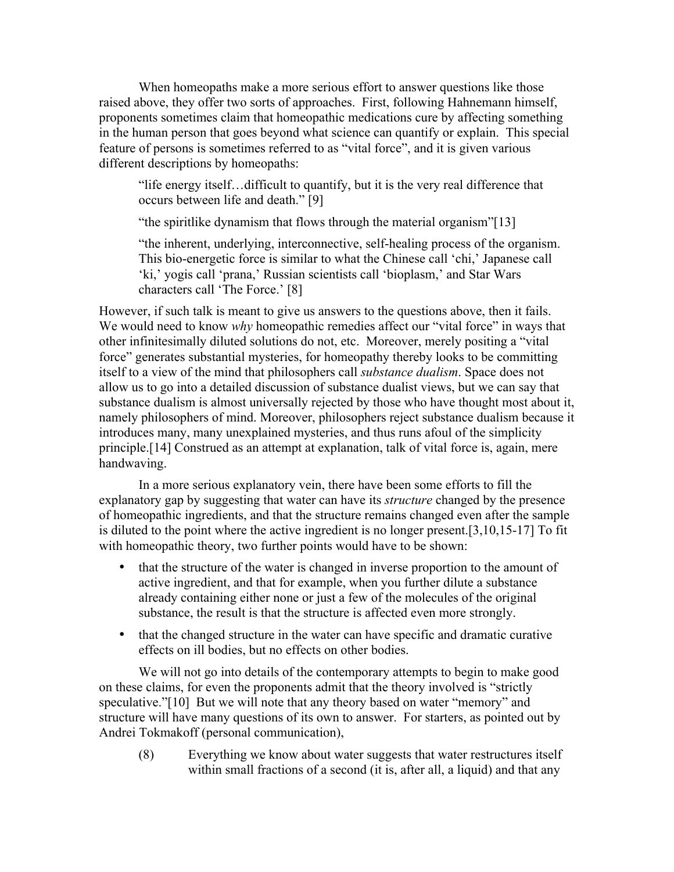When homeopaths make a more serious effort to answer questions like those raised above, they offer two sorts of approaches. First, following Hahnemann himself, proponents sometimes claim that homeopathic medications cure by affecting something in the human person that goes beyond what science can quantify or explain. This special feature of persons is sometimes referred to as "vital force", and it is given various different descriptions by homeopaths:

"life energy itself…difficult to quantify, but it is the very real difference that occurs between life and death." [9]

"the spiritlike dynamism that flows through the material organism"[13]

"the inherent, underlying, interconnective, self-healing process of the organism. This bio-energetic force is similar to what the Chinese call 'chi,' Japanese call 'ki,' yogis call 'prana,' Russian scientists call 'bioplasm,' and Star Wars characters call 'The Force.' [8]

However, if such talk is meant to give us answers to the questions above, then it fails. We would need to know *why* homeopathic remedies affect our "vital force" in ways that other infinitesimally diluted solutions do not, etc. Moreover, merely positing a "vital force" generates substantial mysteries, for homeopathy thereby looks to be committing itself to a view of the mind that philosophers call *substance dualism*. Space does not allow us to go into a detailed discussion of substance dualist views, but we can say that substance dualism is almost universally rejected by those who have thought most about it, namely philosophers of mind. Moreover, philosophers reject substance dualism because it introduces many, many unexplained mysteries, and thus runs afoul of the simplicity principle.[14] Construed as an attempt at explanation, talk of vital force is, again, mere handwaving.

In a more serious explanatory vein, there have been some efforts to fill the explanatory gap by suggesting that water can have its *structure* changed by the presence of homeopathic ingredients, and that the structure remains changed even after the sample is diluted to the point where the active ingredient is no longer present.[3,10,15-17] To fit with homeopathic theory, two further points would have to be shown:

- that the structure of the water is changed in inverse proportion to the amount of active ingredient, and that for example, when you further dilute a substance already containing either none or just a few of the molecules of the original substance, the result is that the structure is affected even more strongly.
- that the changed structure in the water can have specific and dramatic curative effects on ill bodies, but no effects on other bodies.

We will not go into details of the contemporary attempts to begin to make good on these claims, for even the proponents admit that the theory involved is "strictly speculative."[10] But we will note that any theory based on water "memory" and structure will have many questions of its own to answer. For starters, as pointed out by Andrei Tokmakoff (personal communication),

(8) Everything we know about water suggests that water restructures itself within small fractions of a second (it is, after all, a liquid) and that any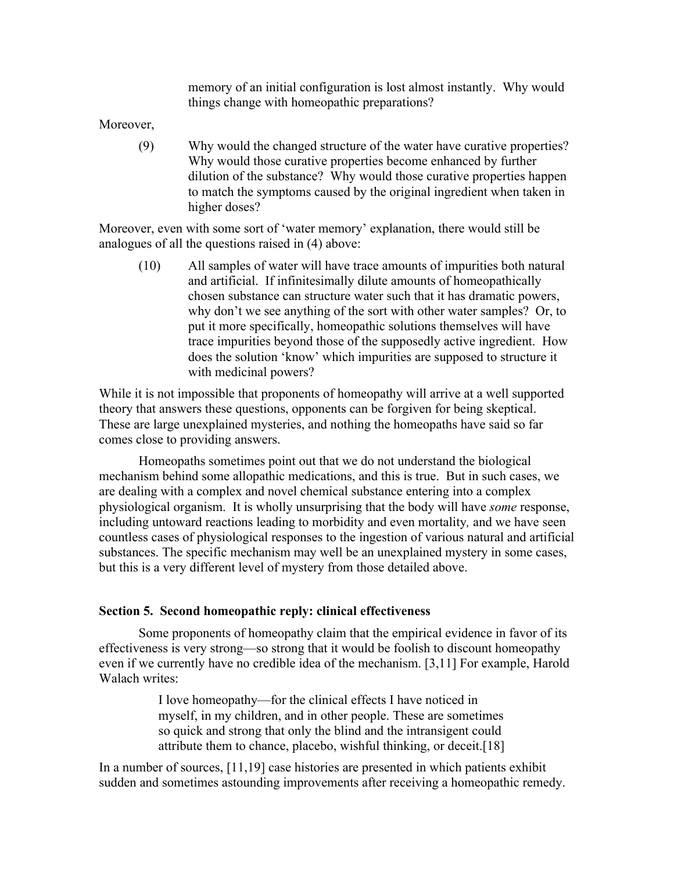memory of an initial configuration is lost almost instantly. Why would things change with homeopathic preparations?

Moreover,

(9) Why would the changed structure of the water have curative properties? Why would those curative properties become enhanced by further dilution of the substance? Why would those curative properties happen to match the symptoms caused by the original ingredient when taken in higher doses?

Moreover, even with some sort of 'water memory' explanation, there would still be analogues of all the questions raised in (4) above:

(10) All samples of water will have trace amounts of impurities both natural and artificial. If infinitesimally dilute amounts of homeopathically chosen substance can structure water such that it has dramatic powers, why don't we see anything of the sort with other water samples? Or, to put it more specifically, homeopathic solutions themselves will have trace impurities beyond those of the supposedly active ingredient. How does the solution 'know' which impurities are supposed to structure it with medicinal powers?

While it is not impossible that proponents of homeopathy will arrive at a well supported theory that answers these questions, opponents can be forgiven for being skeptical. These are large unexplained mysteries, and nothing the homeopaths have said so far comes close to providing answers.

Homeopaths sometimes point out that we do not understand the biological mechanism behind some allopathic medications, and this is true. But in such cases, we are dealing with a complex and novel chemical substance entering into a complex physiological organism. It is wholly unsurprising that the body will have *some* response, including untoward reactions leading to morbidity and even mortality*,* and we have seen countless cases of physiological responses to the ingestion of various natural and artificial substances. The specific mechanism may well be an unexplained mystery in some cases, but this is a very different level of mystery from those detailed above.

### **Section 5. Second homeopathic reply: clinical effectiveness**

Some proponents of homeopathy claim that the empirical evidence in favor of its effectiveness is very strong—so strong that it would be foolish to discount homeopathy even if we currently have no credible idea of the mechanism. [3,11] For example, Harold Walach writes:

> I love homeopathy—for the clinical effects I have noticed in myself, in my children, and in other people. These are sometimes so quick and strong that only the blind and the intransigent could attribute them to chance, placebo, wishful thinking, or deceit.[18]

In a number of sources, [11,19] case histories are presented in which patients exhibit sudden and sometimes astounding improvements after receiving a homeopathic remedy.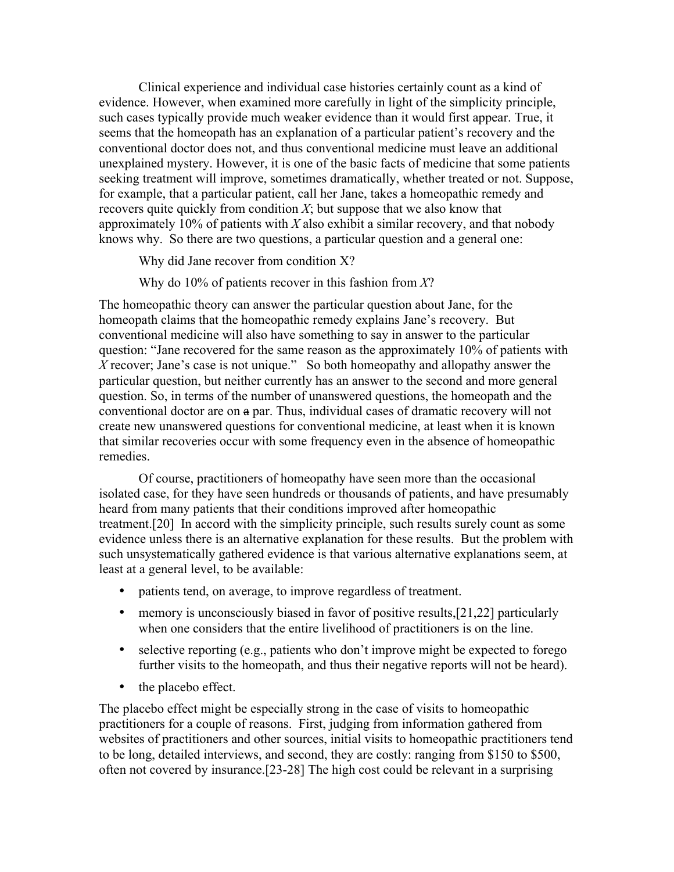Clinical experience and individual case histories certainly count as a kind of evidence. However, when examined more carefully in light of the simplicity principle, such cases typically provide much weaker evidence than it would first appear. True, it seems that the homeopath has an explanation of a particular patient's recovery and the conventional doctor does not, and thus conventional medicine must leave an additional unexplained mystery. However, it is one of the basic facts of medicine that some patients seeking treatment will improve, sometimes dramatically, whether treated or not. Suppose, for example, that a particular patient, call her Jane, takes a homeopathic remedy and recovers quite quickly from condition *X*; but suppose that we also know that approximately 10% of patients with *X* also exhibit a similar recovery, and that nobody knows why. So there are two questions, a particular question and a general one:

Why did Jane recover from condition X?

Why do 10% of patients recover in this fashion from *X*?

The homeopathic theory can answer the particular question about Jane, for the homeopath claims that the homeopathic remedy explains Jane's recovery. But conventional medicine will also have something to say in answer to the particular question: "Jane recovered for the same reason as the approximately 10% of patients with  $\hat{X}$  recover; Jane's case is not unique." So both homeopathy and allopathy answer the particular question, but neither currently has an answer to the second and more general question. So, in terms of the number of unanswered questions, the homeopath and the conventional doctor are on a par. Thus, individual cases of dramatic recovery will not create new unanswered questions for conventional medicine, at least when it is known that similar recoveries occur with some frequency even in the absence of homeopathic remedies.

Of course, practitioners of homeopathy have seen more than the occasional isolated case, for they have seen hundreds or thousands of patients, and have presumably heard from many patients that their conditions improved after homeopathic treatment.[20] In accord with the simplicity principle, such results surely count as some evidence unless there is an alternative explanation for these results. But the problem with such unsystematically gathered evidence is that various alternative explanations seem, at least at a general level, to be available:

- patients tend, on average, to improve regardless of treatment.
- memory is unconsciously biased in favor of positive results, [21,22] particularly when one considers that the entire livelihood of practitioners is on the line.
- selective reporting (e.g., patients who don't improve might be expected to forego further visits to the homeopath, and thus their negative reports will not be heard).
- the placebo effect.

The placebo effect might be especially strong in the case of visits to homeopathic practitioners for a couple of reasons. First, judging from information gathered from websites of practitioners and other sources, initial visits to homeopathic practitioners tend to be long, detailed interviews, and second, they are costly: ranging from \$150 to \$500, often not covered by insurance.[23-28] The high cost could be relevant in a surprising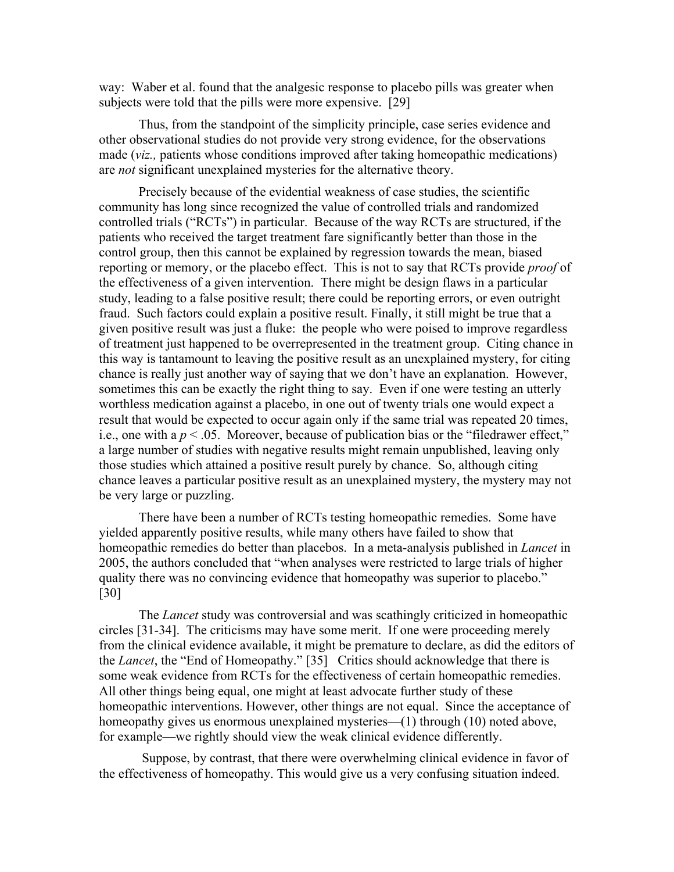way: Waber et al. found that the analgesic response to placebo pills was greater when subjects were told that the pills were more expensive. [29]

Thus, from the standpoint of the simplicity principle, case series evidence and other observational studies do not provide very strong evidence, for the observations made (*viz.,* patients whose conditions improved after taking homeopathic medications) are *not* significant unexplained mysteries for the alternative theory.

Precisely because of the evidential weakness of case studies, the scientific community has long since recognized the value of controlled trials and randomized controlled trials ("RCTs") in particular. Because of the way RCTs are structured, if the patients who received the target treatment fare significantly better than those in the control group, then this cannot be explained by regression towards the mean, biased reporting or memory, or the placebo effect. This is not to say that RCTs provide *proof* of the effectiveness of a given intervention. There might be design flaws in a particular study, leading to a false positive result; there could be reporting errors, or even outright fraud. Such factors could explain a positive result. Finally, it still might be true that a given positive result was just a fluke: the people who were poised to improve regardless of treatment just happened to be overrepresented in the treatment group. Citing chance in this way is tantamount to leaving the positive result as an unexplained mystery, for citing chance is really just another way of saying that we don't have an explanation. However, sometimes this can be exactly the right thing to say. Even if one were testing an utterly worthless medication against a placebo, in one out of twenty trials one would expect a result that would be expected to occur again only if the same trial was repeated 20 times, i.e., one with a  $p < 0.05$ . Moreover, because of publication bias or the "filedrawer effect," a large number of studies with negative results might remain unpublished, leaving only those studies which attained a positive result purely by chance. So, although citing chance leaves a particular positive result as an unexplained mystery, the mystery may not be very large or puzzling.

There have been a number of RCTs testing homeopathic remedies. Some have yielded apparently positive results, while many others have failed to show that homeopathic remedies do better than placebos. In a meta-analysis published in *Lancet* in 2005, the authors concluded that "when analyses were restricted to large trials of higher quality there was no convincing evidence that homeopathy was superior to placebo." [30]

The *Lancet* study was controversial and was scathingly criticized in homeopathic circles [31-34]. The criticisms may have some merit. If one were proceeding merely from the clinical evidence available, it might be premature to declare, as did the editors of the *Lancet*, the "End of Homeopathy." [35] Critics should acknowledge that there is some weak evidence from RCTs for the effectiveness of certain homeopathic remedies. All other things being equal, one might at least advocate further study of these homeopathic interventions. However, other things are not equal. Since the acceptance of homeopathy gives us enormous unexplained mysteries—(1) through (10) noted above, for example—we rightly should view the weak clinical evidence differently.

 Suppose, by contrast, that there were overwhelming clinical evidence in favor of the effectiveness of homeopathy. This would give us a very confusing situation indeed.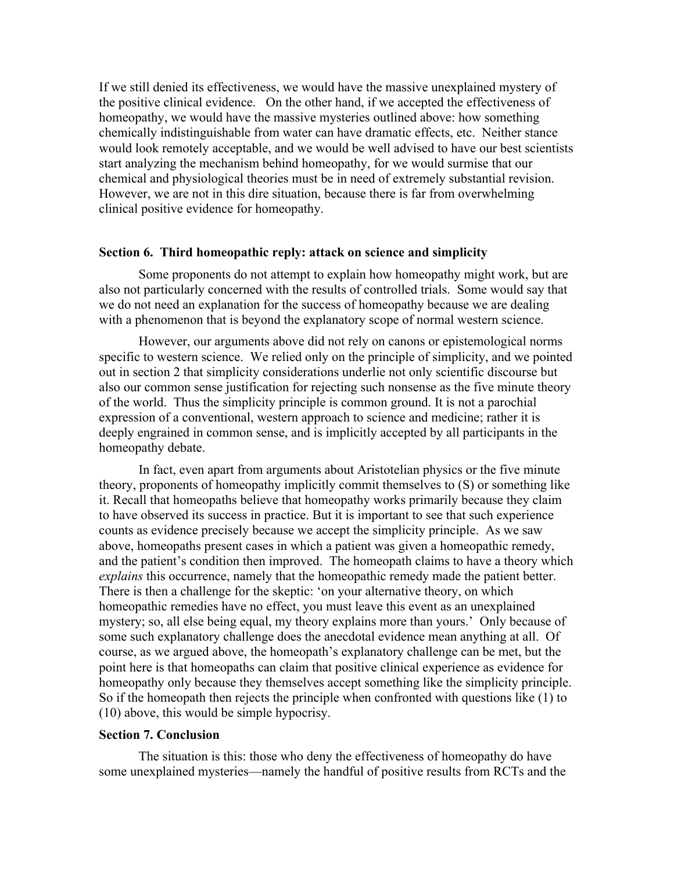If we still denied its effectiveness, we would have the massive unexplained mystery of the positive clinical evidence. On the other hand, if we accepted the effectiveness of homeopathy, we would have the massive mysteries outlined above: how something chemically indistinguishable from water can have dramatic effects, etc. Neither stance would look remotely acceptable, and we would be well advised to have our best scientists start analyzing the mechanism behind homeopathy, for we would surmise that our chemical and physiological theories must be in need of extremely substantial revision. However, we are not in this dire situation, because there is far from overwhelming clinical positive evidence for homeopathy.

#### **Section 6. Third homeopathic reply: attack on science and simplicity**

Some proponents do not attempt to explain how homeopathy might work, but are also not particularly concerned with the results of controlled trials. Some would say that we do not need an explanation for the success of homeopathy because we are dealing with a phenomenon that is beyond the explanatory scope of normal western science.

However, our arguments above did not rely on canons or epistemological norms specific to western science. We relied only on the principle of simplicity, and we pointed out in section 2 that simplicity considerations underlie not only scientific discourse but also our common sense justification for rejecting such nonsense as the five minute theory of the world. Thus the simplicity principle is common ground. It is not a parochial expression of a conventional, western approach to science and medicine; rather it is deeply engrained in common sense, and is implicitly accepted by all participants in the homeopathy debate.

In fact, even apart from arguments about Aristotelian physics or the five minute theory, proponents of homeopathy implicitly commit themselves to (S) or something like it. Recall that homeopaths believe that homeopathy works primarily because they claim to have observed its success in practice. But it is important to see that such experience counts as evidence precisely because we accept the simplicity principle. As we saw above, homeopaths present cases in which a patient was given a homeopathic remedy, and the patient's condition then improved. The homeopath claims to have a theory which *explains* this occurrence, namely that the homeopathic remedy made the patient better. There is then a challenge for the skeptic: 'on your alternative theory, on which homeopathic remedies have no effect, you must leave this event as an unexplained mystery; so, all else being equal, my theory explains more than yours.' Only because of some such explanatory challenge does the anecdotal evidence mean anything at all. Of course, as we argued above, the homeopath's explanatory challenge can be met, but the point here is that homeopaths can claim that positive clinical experience as evidence for homeopathy only because they themselves accept something like the simplicity principle. So if the homeopath then rejects the principle when confronted with questions like (1) to (10) above, this would be simple hypocrisy.

## **Section 7. Conclusion**

The situation is this: those who deny the effectiveness of homeopathy do have some unexplained mysteries—namely the handful of positive results from RCTs and the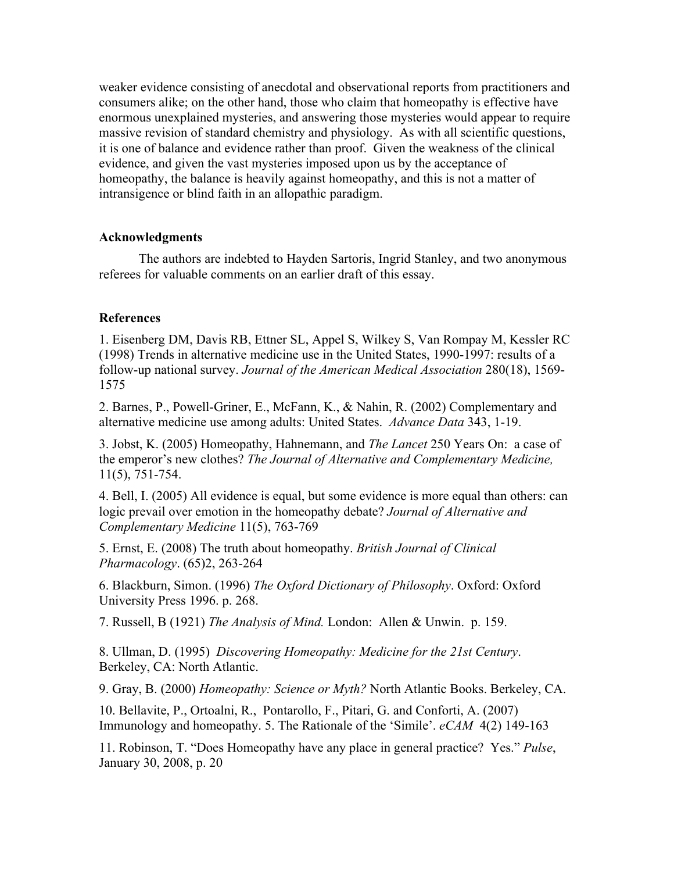weaker evidence consisting of anecdotal and observational reports from practitioners and consumers alike; on the other hand, those who claim that homeopathy is effective have enormous unexplained mysteries, and answering those mysteries would appear to require massive revision of standard chemistry and physiology. As with all scientific questions, it is one of balance and evidence rather than proof. Given the weakness of the clinical evidence, and given the vast mysteries imposed upon us by the acceptance of homeopathy, the balance is heavily against homeopathy, and this is not a matter of intransigence or blind faith in an allopathic paradigm.

### **Acknowledgments**

The authors are indebted to Hayden Sartoris, Ingrid Stanley, and two anonymous referees for valuable comments on an earlier draft of this essay.

### **References**

1. Eisenberg DM, Davis RB, Ettner SL, Appel S, Wilkey S, Van Rompay M, Kessler RC (1998) Trends in alternative medicine use in the United States, 1990-1997: results of a follow-up national survey. *Journal of the American Medical Association* 280(18), 1569- 1575

2. Barnes, P., Powell-Griner, E., McFann, K., & Nahin, R. (2002) Complementary and alternative medicine use among adults: United States. *Advance Data* 343, 1-19.

3. Jobst, K. (2005) Homeopathy, Hahnemann, and *The Lancet* 250 Years On: a case of the emperor's new clothes? *The Journal of Alternative and Complementary Medicine,*  11(5), 751-754.

4. Bell, I. (2005) All evidence is equal, but some evidence is more equal than others: can logic prevail over emotion in the homeopathy debate? *Journal of Alternative and Complementary Medicine* 11(5), 763-769

5. Ernst, E. (2008) The truth about homeopathy. *British Journal of Clinical Pharmacology*. (65)2, 263-264

6. Blackburn, Simon. (1996) *The Oxford Dictionary of Philosophy*. Oxford: Oxford University Press 1996. p. 268.

7. Russell, B (1921) *The Analysis of Mind.* London: Allen & Unwin. p. 159.

8. Ullman, D. (1995) *Discovering Homeopathy: Medicine for the 21st Century*. Berkeley, CA: North Atlantic.

9. Gray, B. (2000) *Homeopathy: Science or Myth?* North Atlantic Books. Berkeley, CA.

10. Bellavite, P., Ortoalni, R., Pontarollo, F., Pitari, G. and Conforti, A. (2007) Immunology and homeopathy. 5. The Rationale of the 'Simile'. *eCAM* 4(2) 149-163

11. Robinson, T. "Does Homeopathy have any place in general practice? Yes." *Pulse*, January 30, 2008, p. 20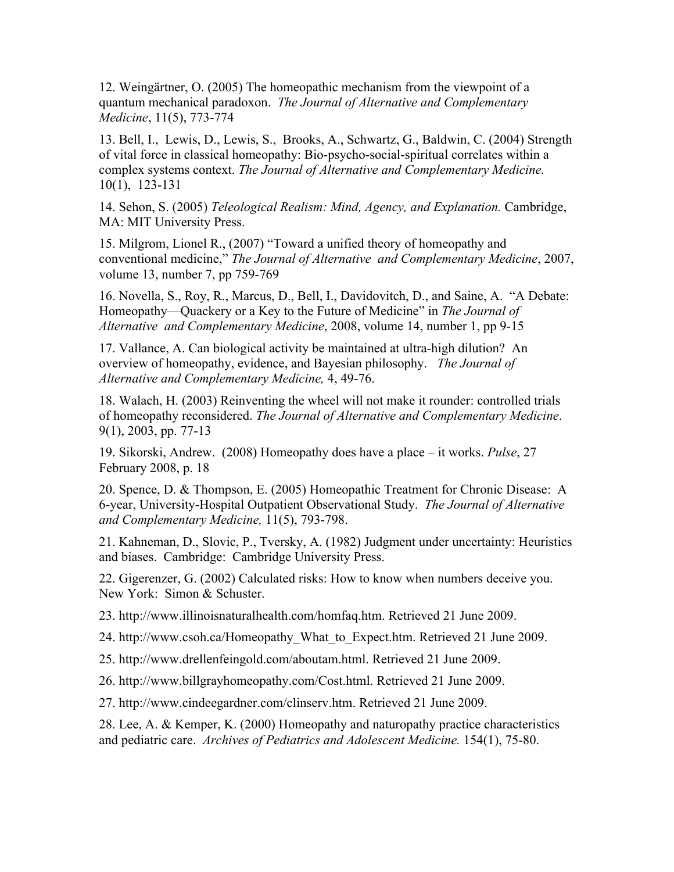12. Weingärtner, O. (2005) The homeopathic mechanism from the viewpoint of a quantum mechanical paradoxon. *The Journal of Alternative and Complementary Medicine*, 11(5), 773-774

13. Bell, I., Lewis, D., Lewis, S., Brooks, A., Schwartz, G., Baldwin, C. (2004) Strength of vital force in classical homeopathy: Bio-psycho-social-spiritual correlates within a complex systems context. *The Journal of Alternative and Complementary Medicine.* 10(1), 123-131

14. Sehon, S. (2005) *Teleological Realism: Mind, Agency, and Explanation.* Cambridge, MA: MIT University Press.

15. Milgrom, Lionel R., (2007) "Toward a unified theory of homeopathy and conventional medicine," *The Journal of Alternative and Complementary Medicine*, 2007, volume 13, number 7, pp 759-769

16. Novella, S., Roy, R., Marcus, D., Bell, I., Davidovitch, D., and Saine, A. "A Debate: Homeopathy—Quackery or a Key to the Future of Medicine" in *The Journal of Alternative and Complementary Medicine*, 2008, volume 14, number 1, pp 9-15

17. Vallance, A. Can biological activity be maintained at ultra-high dilution? An overview of homeopathy, evidence, and Bayesian philosophy. *The Journal of Alternative and Complementary Medicine,* 4, 49-76.

18. Walach, H. (2003) Reinventing the wheel will not make it rounder: controlled trials of homeopathy reconsidered. *The Journal of Alternative and Complementary Medicine*. 9(1), 2003, pp. 77-13

19. Sikorski, Andrew. (2008) Homeopathy does have a place – it works. *Pulse*, 27 February 2008, p. 18

20. Spence, D. & Thompson, E. (2005) Homeopathic Treatment for Chronic Disease: A 6-year, University-Hospital Outpatient Observational Study. *The Journal of Alternative and Complementary Medicine,* 11(5), 793-798.

21. Kahneman, D., Slovic, P., Tversky, A. (1982) Judgment under uncertainty: Heuristics and biases. Cambridge: Cambridge University Press.

22. Gigerenzer, G. (2002) Calculated risks: How to know when numbers deceive you. New York: Simon & Schuster.

23. http://www.illinoisnaturalhealth.com/homfaq.htm. Retrieved 21 June 2009.

24. http://www.csoh.ca/Homeopathy\_What\_to\_Expect.htm. Retrieved 21 June 2009.

25. http://www.drellenfeingold.com/aboutam.html. Retrieved 21 June 2009.

26. http://www.billgrayhomeopathy.com/Cost.html. Retrieved 21 June 2009.

27. http://www.cindeegardner.com/clinserv.htm. Retrieved 21 June 2009.

28. Lee, A. & Kemper, K. (2000) Homeopathy and naturopathy practice characteristics and pediatric care. *Archives of Pediatrics and Adolescent Medicine.* 154(1), 75-80.